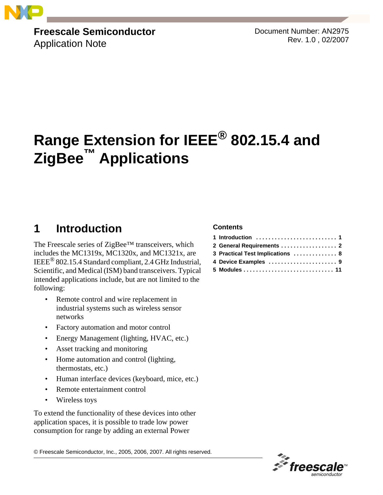

**Freescale Semiconductor**

Application Note

Document Number: AN2975 Rev. 1.0 , 02/2007

# **Range Extension for IEEE® 802.15.4 and ZigBee™ Applications**

## <span id="page-0-0"></span>**1 Introduction**

The Freescale series of ZigBee™ transceivers, which includes the MC1319x, MC1320x, and MC1321x, are IEEE® 802.15.4 Standard compliant, 2.4 GHz Industrial, Scientific, and Medical (ISM) band transceivers. Typical intended applications include, but are not limited to the following:

- Remote control and wire replacement in industrial systems such as wireless sensor networks
- Factory automation and motor control
- Energy Management (lighting, HVAC, etc.)
- Asset tracking and monitoring
- Home automation and control (lighting, thermostats, etc.)
- Human interface devices (keyboard, mice, etc.)
- Remote entertainment control
- Wireless toys

To extend the functionality of these devices into other application spaces, it is possible to trade low power consumption for range by adding an external Power

© Freescale Semiconductor, Inc., 2005, 2006, 2007. All rights reserved.

#### **Contents**

| 2 General Requirements  2        |
|----------------------------------|
| 3 Practical Test Implications  8 |
|                                  |
|                                  |

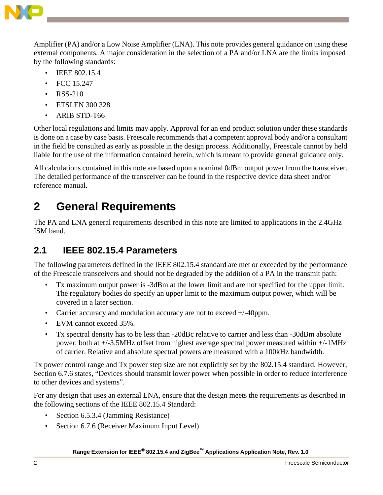

Amplifier (PA) and/or a Low Noise Amplifier (LNA). This note provides general guidance on using these external components. A major consideration in the selection of a PA and/or LNA are the limits imposed by the following standards:

- IEEE 802.15.4
- FCC 15.247
- RSS-210
- ETSI EN 300 328
- ARIB STD-T66

Other local regulations and limits may apply. Approval for an end product solution under these standards is done on a case by case basis. Freescale recommends that a competent approval body and/or a consultant in the field be consulted as early as possible in the design process. Additionally, Freescale cannot by held liable for the use of the information contained herein, which is meant to provide general guidance only.

All calculations contained in this note are based upon a nominal 0dBm output power from the transceiver. The detailed performance of the transceiver can be found in the respective device data sheet and/or reference manual.

## <span id="page-1-0"></span>**2 General Requirements**

The PA and LNA general requirements described in this note are limited to applications in the 2.4GHz ISM band.

### **2.1 IEEE 802.15.4 Parameters**

The following parameters defined in the IEEE 802.15.4 standard are met or exceeded by the performance of the Freescale transceivers and should not be degraded by the addition of a PA in the transmit path:

- Tx maximum output power is -3dBm at the lower limit and are not specified for the upper limit. The regulatory bodies do specify an upper limit to the maximum output power, which will be covered in a later section.
- Carrier accuracy and modulation accuracy are not to exceed +/-40ppm.
- EVM cannot exceed 35%.
- Tx spectral density has to be less than -20dBc relative to carrier and less than -30dBm absolute power, both at +/-3.5MHz offset from highest average spectral power measured within +/-1MHz of carrier. Relative and absolute spectral powers are measured with a 100kHz bandwidth.

Tx power control range and Tx power step size are not explicitly set by the 802.15.4 standard. However, Section 6.7.6 states, "Devices should transmit lower power when possible in order to reduce interference to other devices and systems".

For any design that uses an external LNA, ensure that the design meets the requirements as described in the following sections of the IEEE 802.15.4 Standard:

- Section 6.5.3.4 (Jamming Resistance)
- Section 6.7.6 (Receiver Maximum Input Level)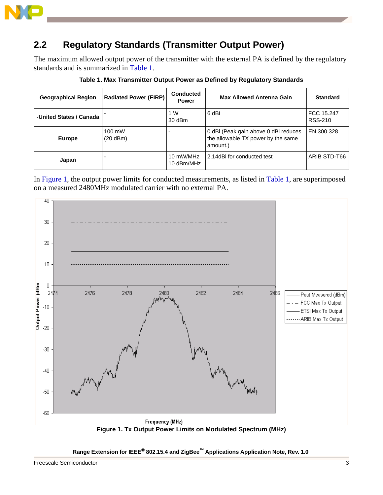

#### **2.2 Regulatory Standards (Transmitter Output Power)**

The maximum allowed output power of the transmitter with the external PA is defined by the regulatory standards and is summarized in [Table 1.](#page-2-1)

<span id="page-2-1"></span>

| <b>Geographical Region</b> | <b>Radiated Power (EIRP)</b> | <b>Conducted</b><br><b>Power</b> | Max Allowed Antenna Gain                                                               | <b>Standard</b>              |
|----------------------------|------------------------------|----------------------------------|----------------------------------------------------------------------------------------|------------------------------|
| -United States / Canada    |                              | 1 W<br>30 dBm                    | 6 dBi                                                                                  | FCC 15.247<br><b>RSS-210</b> |
| <b>Europe</b>              | 100 mW<br>$(20$ dBm $)$      |                                  | 0 dBi (Peak gain above 0 dBi reduces<br>the allowable TX power by the same<br>amount.) | EN 300 328                   |
| Japan                      |                              | 10 mW/MHz<br>10 dBm/MHz          | l 2.14dBi for conducted test                                                           | ARIB STD-T66                 |

**Table 1. Max Transmitter Output Power as Defined by Regulatory Standards**

In [Figure 1](#page-2-0), the output power limits for conducted measurements, as listed in [Table 1](#page-2-1), are superimposed on a measured 2480MHz modulated carrier with no external PA.

<span id="page-2-0"></span>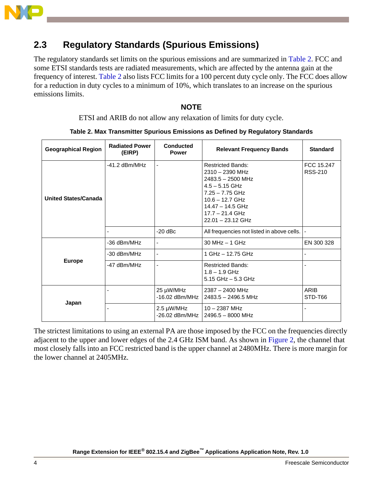

#### **2.3 Regulatory Standards (Spurious Emissions)**

The regulatory standards set limits on the spurious emissions and are summarized in [Table 2.](#page-3-0) FCC and some ETSI standards tests are radiated measurements, which are affected by the antenna gain at the frequency of interest. [Table 2](#page-3-0) also lists FCC limits for a 100 percent duty cycle only. The FCC does allow for a reduction in duty cycles to a minimum of 10%, which translates to an increase on the spurious emissions limits.

#### **NOTE**

ETSI and ARIB do not allow any relaxation of limits for duty cycle.

<span id="page-3-0"></span>

| <b>Geographical Region</b>  | <b>Radiated Power</b><br>(EIRP) | Conducted<br><b>Power</b>     | <b>Relevant Frequency Bands</b>                                                                                                                                                                      | <b>Standard</b>              |
|-----------------------------|---------------------------------|-------------------------------|------------------------------------------------------------------------------------------------------------------------------------------------------------------------------------------------------|------------------------------|
| <b>United States/Canada</b> | $-41.2$ dBm/MHz                 |                               | <b>Restricted Bands:</b><br>$2310 - 2390$ MHz<br>$2483.5 - 2500$ MHz<br>$4.5 - 5.15$ GHz<br>$7.25 - 7.75$ GHz<br>$10.6 - 12.7$ GHz<br>$14.47 - 14.5$ GHz<br>$17.7 - 21.4$ GHz<br>$22.01 - 23.12$ GHz | FCC 15.247<br><b>RSS-210</b> |
|                             |                                 | $-20$ dBc                     | All frequencies not listed in above cells.                                                                                                                                                           |                              |
|                             | -36 dBm/MHz                     | ٠                             | $30$ MHz $-$ 1 GHz                                                                                                                                                                                   | EN 300 328                   |
|                             | -30 dBm/MHz                     |                               | 1 GHz - 12.75 GHz                                                                                                                                                                                    |                              |
| <b>Europe</b>               | -47 dBm/MHz                     |                               | <b>Restricted Bands:</b><br>$1.8 - 1.9$ GHz<br>$5.15$ GHz $-5.3$ GHz                                                                                                                                 |                              |
|                             |                                 | 25 µW/MHz<br>$-16.02$ dBm/MHz | $2387 - 2400$ MHz<br>2483.5 - 2496.5 MHz                                                                                                                                                             | ARIB<br>STD-T66              |
| Japan                       |                                 | 2.5 µW/MHz<br>-26.02 dBm/MHz  | $10 - 2387$ MHz<br>2496.5 - 8000 MHz                                                                                                                                                                 |                              |

|  | Table 2. Max Transmitter Spurious Emissions as Defined by Regulatory Standards |  |  |  |
|--|--------------------------------------------------------------------------------|--|--|--|
|  |                                                                                |  |  |  |

The strictest limitations to using an external PA are those imposed by the FCC on the frequencies directly adjacent to the upper and lower edges of the 2.4 GHz ISM band. As shown in [Figure 2](#page-4-0), the channel that most closely falls into an FCC restricted band is the upper channel at 2480MHz. There is more margin for the lower channel at 2405MHz.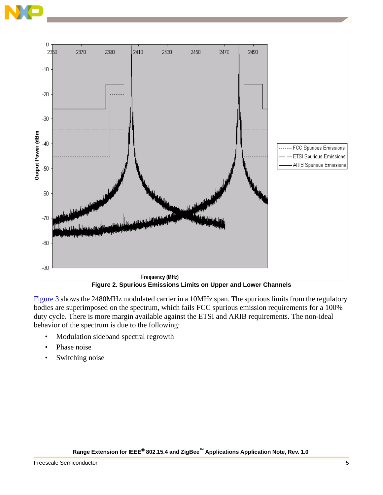



**Figure 2. Spurious Emissions Limits on Upper and Lower Channels**

<span id="page-4-0"></span>[Figure 3](#page-5-0) shows the 2480MHz modulated carrier in a 10MHz span. The spurious limits from the regulatory bodies are superimposed on the spectrum, which fails FCC spurious emission requirements for a 100% duty cycle. There is more margin available against the ETSI and ARIB requirements. The non-ideal behavior of the spectrum is due to the following:

- Modulation sideband spectral regrowth
- Phase noise
- Switching noise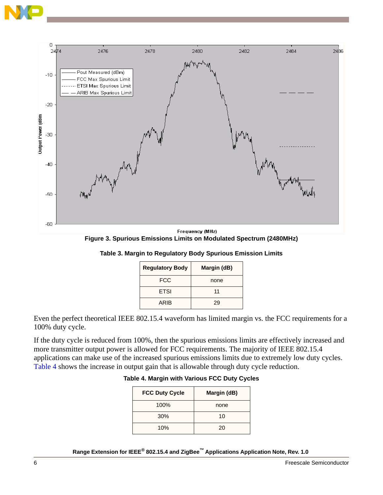



<span id="page-5-0"></span>**Frequency (MHz) Figure 3. Spurious Emissions Limits on Modulated Spectrum (2480MHz)**

| <b>Regulatory Body</b> | Margin (dB) |
|------------------------|-------------|
| FCC                    | none        |
| <b>ETSI</b>            | 11          |
| ARIB                   | 29          |

**Table 3. Margin to Regulatory Body Spurious Emission Limits**

Even the perfect theoretical IEEE 802.15.4 waveform has limited margin vs. the FCC requirements for a 100% duty cycle.

<span id="page-5-1"></span>If the duty cycle is reduced from 100%, then the spurious emissions limits are effectively increased and more transmitter output power is allowed for FCC requirements. The majority of IEEE 802.15.4 applications can make use of the increased spurious emissions limits due to extremely low duty cycles. [Table 4](#page-5-1) shows the increase in output gain that is allowable through duty cycle reduction.

#### **Table 4. Margin with Various FCC Duty Cycles**

| <b>FCC Duty Cycle</b> | Margin (dB) |
|-----------------------|-------------|
| 100%                  | none        |
| 30%                   | 10          |
| 10%                   | 20          |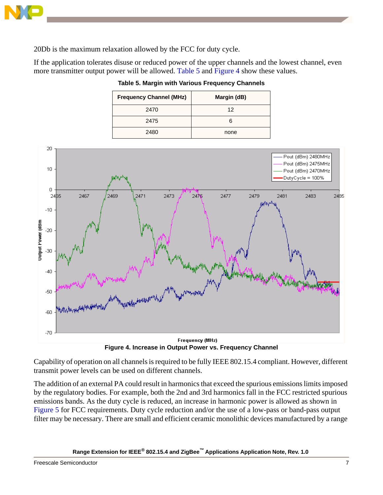

20Db is the maximum relaxation allowed by the FCC for duty cycle.

<span id="page-6-1"></span>If the application tolerates disuse or reduced power of the upper channels and the lowest channel, even more transmitter output power will be allowed. [Table 5](#page-6-1) and [Figure 4](#page-6-0) show these values.

| <b>Frequency Channel (MHz)</b> | Margin (dB) |
|--------------------------------|-------------|
| 2470                           | 12          |
| 2475                           |             |
| 2480                           | none        |

**Table 5. Margin with Various Frequency Channels**



**Figure 4. Increase in Output Power vs. Frequency Channel**

<span id="page-6-0"></span>Capability of operation on all channels is required to be fully IEEE 802.15.4 compliant. However, different transmit power levels can be used on different channels.

The addition of an external PA could result in harmonics that exceed the spurious emissions limits imposed by the regulatory bodies. For example, both the 2nd and 3rd harmonics fall in the FCC restricted spurious emissions bands. As the duty cycle is reduced, an increase in harmonic power is allowed as shown in [Figure 5](#page-7-1) for FCC requirements. Duty cycle reduction and/or the use of a low-pass or band-pass output filter may be necessary. There are small and efficient ceramic monolithic devices manufactured by a range

**Range Extension for IEEE® 802.15.4 and ZigBee™ Applications Application Note, Rev. 1.0** 

**Freescale Semiconductor** 7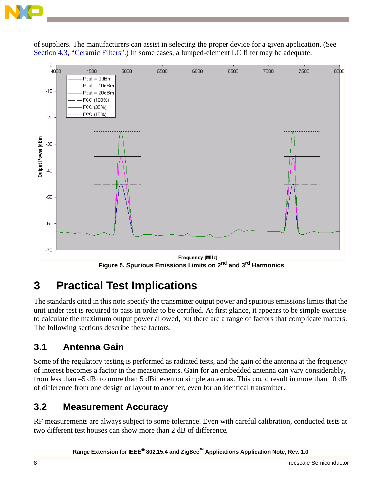

of suppliers. The manufacturers can assist in selecting the proper device for a given application. (See [Section 4.3, "Ceramic Filters".](#page-10-1)) In some cases, a lumped-element LC filter may be adequate.



Frequency (MHz) **Figure 5. Spurious Emissions Limits on 2nd and 3rd Harmonics**

## <span id="page-7-1"></span><span id="page-7-0"></span>**3 Practical Test Implications**

The standards cited in this note specify the transmitter output power and spurious emissions limits that the unit under test is required to pass in order to be certified. At first glance, it appears to be simple exercise to calculate the maximum output power allowed, but there are a range of factors that complicate matters. The following sections describe these factors.

### **3.1 Antenna Gain**

Some of the regulatory testing is performed as radiated tests, and the gain of the antenna at the frequency of interest becomes a factor in the measurements. Gain for an embedded antenna can vary considerably, from less than –5 dBi to more than 5 dBi, even on simple antennas. This could result in more than 10 dB of difference from one design or layout to another, even for an identical transmitter.

### **3.2 Measurement Accuracy**

RF measurements are always subject to some tolerance. Even with careful calibration, conducted tests at two different test houses can show more than 2 dB of difference.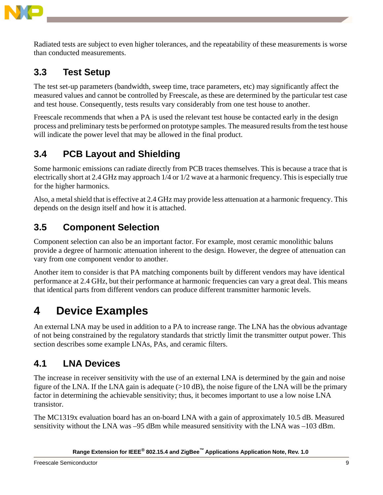

Radiated tests are subject to even higher tolerances, and the repeatability of these measurements is worse than conducted measurements.

### **3.3 Test Setup**

The test set-up parameters (bandwidth, sweep time, trace parameters, etc) may significantly affect the measured values and cannot be controlled by Freescale, as these are determined by the particular test case and test house. Consequently, tests results vary considerably from one test house to another.

Freescale recommends that when a PA is used the relevant test house be contacted early in the design process and preliminary tests be performed on prototype samples. The measured results from the test house will indicate the power level that may be allowed in the final product.

### **3.4 PCB Layout and Shielding**

Some harmonic emissions can radiate directly from PCB traces themselves. This is because a trace that is electrically short at 2.4 GHz may approach 1/4 or 1/2 wave at a harmonic frequency. This is especially true for the higher harmonics.

Also, a metal shield that is effective at 2.4 GHz may provide less attenuation at a harmonic frequency. This depends on the design itself and how it is attached.

### **3.5 Component Selection**

Component selection can also be an important factor. For example, most ceramic monolithic baluns provide a degree of harmonic attenuation inherent to the design. However, the degree of attenuation can vary from one component vendor to another.

Another item to consider is that PA matching components built by different vendors may have identical performance at 2.4 GHz, but their performance at harmonic frequencies can vary a great deal. This means that identical parts from different vendors can produce different transmitter harmonic levels.

## <span id="page-8-0"></span>**4 Device Examples**

An external LNA may be used in addition to a PA to increase range. The LNA has the obvious advantage of not being constrained by the regulatory standards that strictly limit the transmitter output power. This section describes some example LNAs, PAs, and ceramic filters.

### **4.1 LNA Devices**

The increase in receiver sensitivity with the use of an external LNA is determined by the gain and noise figure of the LNA. If the LNA gain is adequate (>10 dB), the noise figure of the LNA will be the primary factor in determining the achievable sensitivity; thus, it becomes important to use a low noise LNA transistor.

The MC1319x evaluation board has an on-board LNA with a gain of approximately 10.5 dB. Measured sensitivity without the LNA was –95 dBm while measured sensitivity with the LNA was –103 dBm.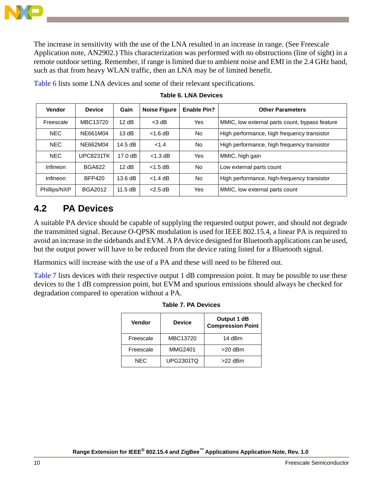

The increase in sensitivity with the use of the LNA resulted in an increase in range. (See Freescale Application note, AN2902.) This characterization was performed with no obstructions (line of sight) in a remote outdoor setting. Remember, if range is limited due to ambient noise and EMI in the 2.4 GHz band, such as that from heavy WLAN traffic, then an LNA may be of limited benefit.

<span id="page-9-1"></span>

| <b>Vendor</b> | <b>Device</b>  | Gain              | <b>Noise Figure</b> | <b>Enable Pin?</b> | <b>Other Parameters</b>                        |
|---------------|----------------|-------------------|---------------------|--------------------|------------------------------------------------|
| Freescale     | MBC13720       | 12 dB             | $<$ 3 dB            | Yes                | MMIC, low external parts count, bypass feature |
| <b>NEC</b>    | NE661M04       | 13dB              | $<$ 1.6 dB          | No.                | High performance, high frequency transistor    |
| <b>NEC</b>    | NE662M04       | $14.5 \text{ dB}$ | < 1.4               | <b>No</b>          | High performance, high frequency transistor    |
| <b>NEC</b>    | UPC8231TK      | $17.0 \text{ dB}$ | $<$ 1.3 dB          | Yes                | MMIC, high gain                                |
| Infineon      | <b>BGA622</b>  | 12 dB             | $<$ 1.5 dB          | <b>No</b>          | Low external parts count                       |
| Infineon      | <b>BFP420</b>  | 13.6 dB           | $<$ 1.4 dB          | No.                | High performance, high-frequency transistor    |
| Phillips/NXP  | <b>BGA2012</b> | 11.5 dB           | $<$ 2.5 dB          | Yes                | MMIC, low external parts count                 |

**Table 6. LNA Devices**

[Table 6](#page-9-1) lists some LNA devices and some of their relevant specifications.

### **4.2 PA Devices**

A suitable PA device should be capable of supplying the requested output power, and should not degrade the transmitted signal. Because O-QPSK modulation is used for IEEE 802.15.4, a linear PA is required to avoid an increase in the sidebands and EVM. A PA device designed for Bluetooth applications can be used, but the output power will have to be reduced from the device rating listed for a Bluetooth signal.

Harmonics will increase with the use of a PA and these will need to be filtered out.

<span id="page-9-0"></span>[Table 7](#page-9-0) lists devices with their respective output 1 dB compression point. It may be possible to use these devices to the 1 dB compression point, but EVM and spurious emissions should always be checked for degradation compared to operation without a PA.

| <b>Vendor</b> | <b>Device</b>    | Output 1 dB<br><b>Compression Point</b> |
|---------------|------------------|-----------------------------------------|
| Freescale     | MBC13720         | 14 dBm                                  |
| Freescale     | <b>MMG2401</b>   | $>20$ dBm                               |
| NFC           | <b>UPG2301TQ</b> | $>22$ dBm                               |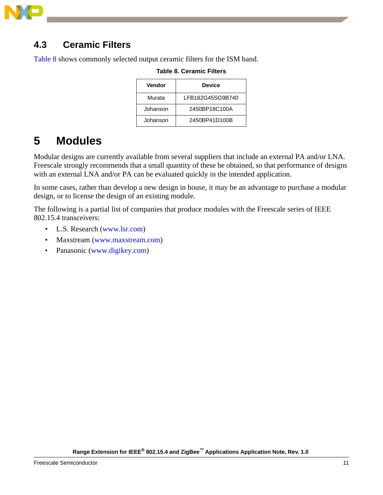

#### <span id="page-10-1"></span>**4.3 Ceramic Filters**

<span id="page-10-2"></span>[Table 8](#page-10-2) shows commonly selected output ceramic filters for the ISM band.

| Vendor   | <b>Device</b>    |
|----------|------------------|
| Murata   | LFB182G45SG9B740 |
| Johanson | 2450BP18C100A    |
| Johanson | 2450BP41D100B    |

#### **Table 8. Ceramic Filters**

## <span id="page-10-0"></span>**5 Modules**

Modular designs are currently available from several suppliers that include an external PA and/or LNA. Freescale strongly recommends that a small quantity of these be obtained, so that performance of designs with an external LNA and/or PA can be evaluated quickly in the intended application.

In some cases, rather than develop a new design in house, it may be an advantage to purchase a modular design, or to license the design of an existing module.

The following is a partial list of companies that produce modules with the Freescale series of IEEE 802.15.4 transceivers:

- L.S. Research ([www.lsr.com\)](http://www.lsr.com)
- Maxstream ([www.maxstream.com](http://www.maxstream.com))
- Panasonic ([www.digikey.com](http://www.digikey.com))